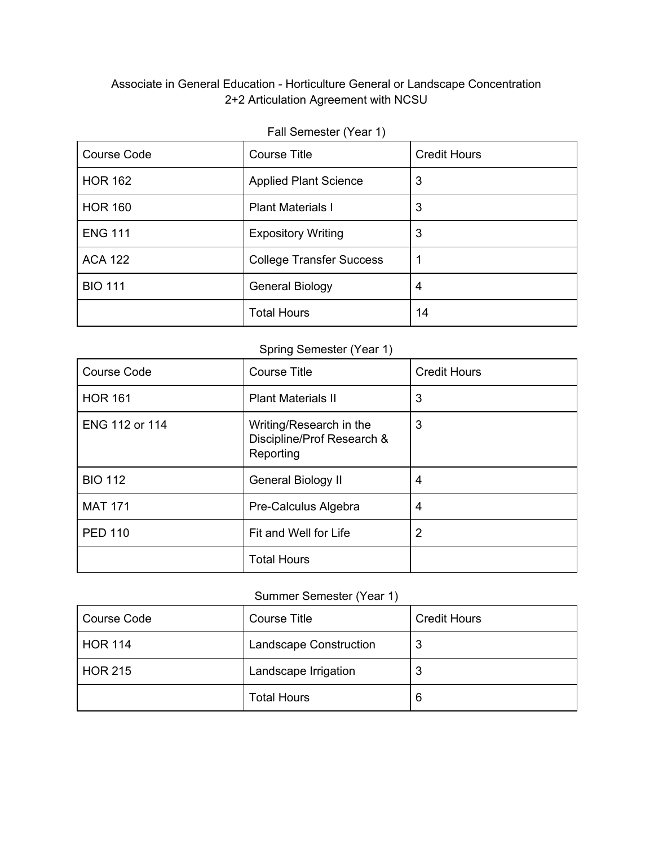# Associate in General Education - Horticulture General or Landscape Concentration 2+2 Articulation Agreement with NCSU

| <b>Course Code</b> | <b>Course Title</b>             | <b>Credit Hours</b> |
|--------------------|---------------------------------|---------------------|
| <b>HOR 162</b>     | <b>Applied Plant Science</b>    | 3                   |
| <b>HOR 160</b>     | <b>Plant Materials I</b>        | 3                   |
| <b>ENG 111</b>     | <b>Expository Writing</b>       | 3                   |
| <b>ACA 122</b>     | <b>College Transfer Success</b> |                     |
| <b>BIO 111</b>     | <b>General Biology</b>          | 4                   |
|                    | <b>Total Hours</b>              | 14                  |

#### Fall Semester (Year 1)

# Spring Semester (Year 1)

| <b>Course Code</b> | <b>Course Title</b>                                                | <b>Credit Hours</b> |
|--------------------|--------------------------------------------------------------------|---------------------|
| <b>HOR 161</b>     | <b>Plant Materials II</b>                                          | 3                   |
| ENG 112 or 114     | Writing/Research in the<br>Discipline/Prof Research &<br>Reporting | 3                   |
| <b>BIO 112</b>     | General Biology II                                                 | 4                   |
| <b>MAT 171</b>     | Pre-Calculus Algebra                                               | 4                   |
| <b>PED 110</b>     | Fit and Well for Life                                              | 2                   |
|                    | <b>Total Hours</b>                                                 |                     |

# Summer Semester (Year 1)

| <b>Course Code</b> | Course Title                  | <b>Credit Hours</b> |
|--------------------|-------------------------------|---------------------|
| <b>HOR 114</b>     | <b>Landscape Construction</b> |                     |
| <b>HOR 215</b>     | Landscape Irrigation          | 3                   |
|                    | <b>Total Hours</b>            | 6                   |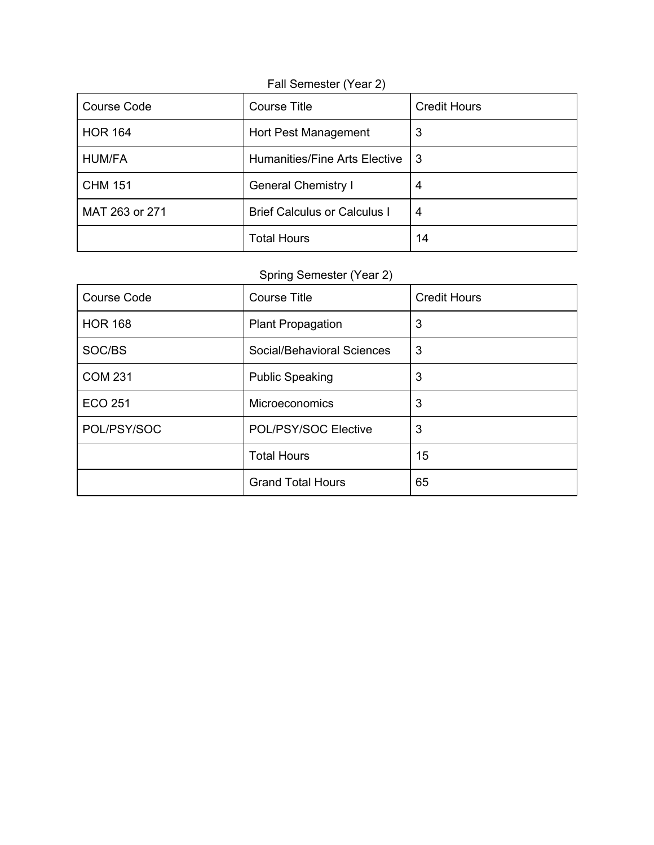| <b>Course Code</b> | <b>Course Title</b>                 | <b>Credit Hours</b> |
|--------------------|-------------------------------------|---------------------|
| <b>HOR 164</b>     | Hort Pest Management                | 3                   |
| <b>HUM/FA</b>      | Humanities/Fine Arts Elective       | -3                  |
| <b>CHM 151</b>     | <b>General Chemistry I</b>          | 4                   |
| MAT 263 or 271     | <b>Brief Calculus or Calculus I</b> | 4                   |
|                    | <b>Total Hours</b>                  | 14                  |

#### Fall Semester (Year 2)

# Spring Semester (Year 2)

| <b>Course Code</b> | <b>Course Title</b>        | <b>Credit Hours</b> |
|--------------------|----------------------------|---------------------|
| <b>HOR 168</b>     | <b>Plant Propagation</b>   | 3                   |
| SOC/BS             | Social/Behavioral Sciences | 3                   |
| <b>COM 231</b>     | <b>Public Speaking</b>     | 3                   |
| <b>ECO 251</b>     | <b>Microeconomics</b>      | 3                   |
| POL/PSY/SOC        | POL/PSY/SOC Elective       | 3                   |
|                    | <b>Total Hours</b>         | 15                  |
|                    | <b>Grand Total Hours</b>   | 65                  |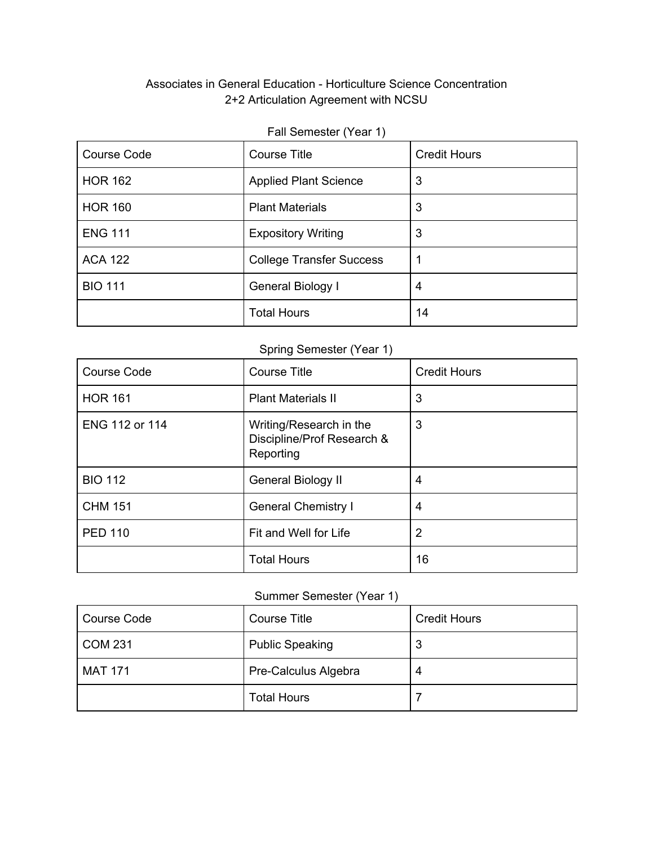# Associates in General Education - Horticulture Science Concentration 2+2 Articulation Agreement with NCSU

# Fall Semester (Year 1)

| <b>Course Code</b> | <b>Course Title</b>             | <b>Credit Hours</b> |
|--------------------|---------------------------------|---------------------|
| <b>HOR 162</b>     | <b>Applied Plant Science</b>    | 3                   |
| <b>HOR 160</b>     | <b>Plant Materials</b>          | 3                   |
| <b>ENG 111</b>     | <b>Expository Writing</b>       | 3                   |
| <b>ACA 122</b>     | <b>College Transfer Success</b> |                     |
| <b>BIO 111</b>     | General Biology I               | 4                   |
|                    | <b>Total Hours</b>              | 14                  |

# Spring Semester (Year 1)

| <b>Course Code</b> | <b>Course Title</b>                                                | <b>Credit Hours</b> |
|--------------------|--------------------------------------------------------------------|---------------------|
| <b>HOR 161</b>     | <b>Plant Materials II</b>                                          | 3                   |
| ENG 112 or 114     | Writing/Research in the<br>Discipline/Prof Research &<br>Reporting | 3                   |
| <b>BIO 112</b>     | General Biology II                                                 | 4                   |
| <b>CHM 151</b>     | <b>General Chemistry I</b>                                         | 4                   |
| <b>PED 110</b>     | Fit and Well for Life                                              | 2                   |
|                    | <b>Total Hours</b>                                                 | 16                  |

# Summer Semester (Year 1)

| <b>Course Code</b> | Course Title           | <b>Credit Hours</b> |
|--------------------|------------------------|---------------------|
| <b>COM 231</b>     | <b>Public Speaking</b> | J                   |
| <b>MAT 171</b>     | Pre-Calculus Algebra   |                     |
|                    | <b>Total Hours</b>     |                     |